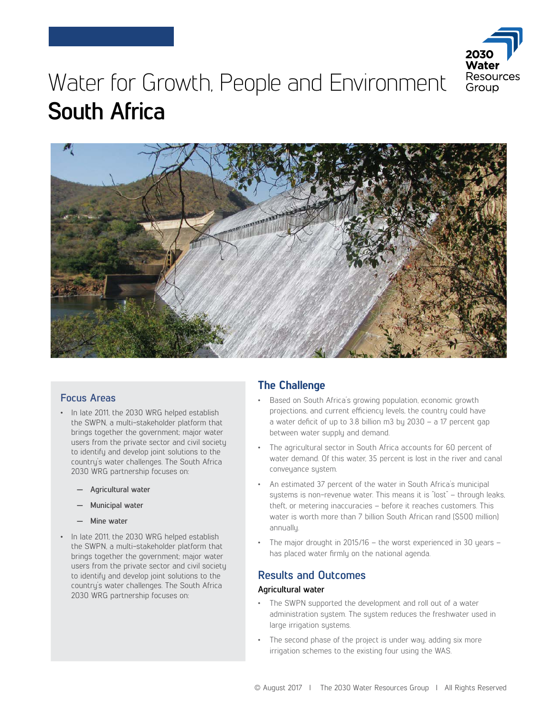

# Water for Growth, People and Environment **South Africa**



## **Focus Areas**

- In late 2011, the 2030 WRG helped establish the SWPN, a multi-stakeholder platform that brings together the government; major water users from the private sector and civil society to identify and develop joint solutions to the country's water challenges. The South Africa 2030 WRG partnership focuses on:
	- **— Agricultural water**
	- **— Municipal water**
	- **— Mine water**
- In late 2011, the 2030 WRG helped establish the SWPN, a multi-stakeholder platform that brings together the government; major water users from the private sector and civil society to identify and develop joint solutions to the country's water challenges. The South Africa 2030 WRG partnership focuses on:

# **The Challenge**

- Based on South Africa's growing population, economic growth projections, and current efficiency levels, the country could have a water deficit of up to 3.8 billion m3 by 2030 – a 17 percent gap between water supply and demand.
- The agricultural sector in South Africa accounts for 60 percent of water demand. Of this water, 35 percent is lost in the river and canal conveyance system.
- An estimated 37 percent of the water in South Africa's municipal systems is non-revenue water. This means it is "lost" – through leaks, theft, or metering inaccuracies – before it reaches customers. This water is worth more than 7 billion South African rand (\$500 million) annually.
- The major drought in 2015/16 the worst experienced in 30 years has placed water firmly on the national agenda.

## **Results and Outcomes**

#### **Agricultural water**

- The SWPN supported the development and roll out of a water administration system. The system reduces the freshwater used in large irrigation systems.
- The second phase of the project is under way, adding six more irrigation schemes to the existing four using the WAS.